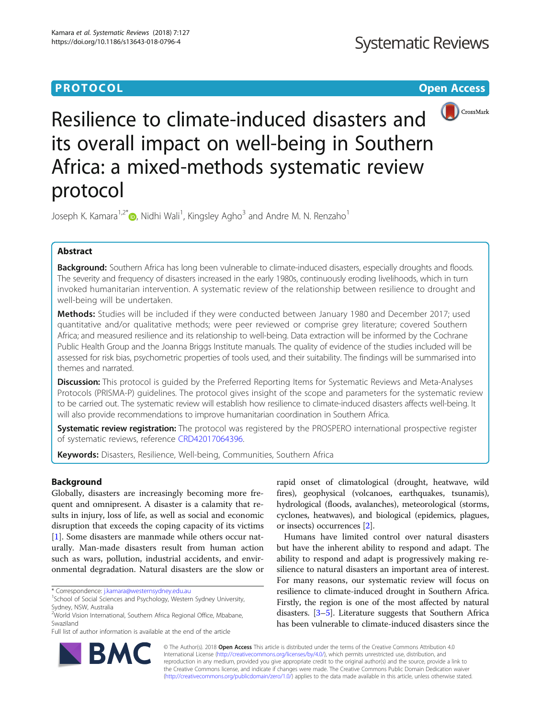# **PROTOCOL CONSUMING THE OPEN ACCESS**



Resilience to climate-induced disasters and its overall impact on well-being in Southern Africa: a mixed-methods systematic review protocol

Joseph K. Kamara<sup>1,2\*</sup> $\textcolor{red}{\bullet}$ , Nidhi Wali<sup>1</sup>, Kingsley Agho<sup>3</sup> and Andre M. N. Renzaho<sup>1</sup>

# Abstract

Background: Southern Africa has long been vulnerable to climate-induced disasters, especially droughts and floods. The severity and frequency of disasters increased in the early 1980s, continuously eroding livelihoods, which in turn invoked humanitarian intervention. A systematic review of the relationship between resilience to drought and well-being will be undertaken.

Methods: Studies will be included if they were conducted between January 1980 and December 2017; used quantitative and/or qualitative methods; were peer reviewed or comprise grey literature; covered Southern Africa; and measured resilience and its relationship to well-being. Data extraction will be informed by the Cochrane Public Health Group and the Joanna Briggs Institute manuals. The quality of evidence of the studies included will be assessed for risk bias, psychometric properties of tools used, and their suitability. The findings will be summarised into themes and narrated.

**Discussion:** This protocol is quided by the Preferred Reporting Items for Systematic Reviews and Meta-Analyses Protocols (PRISMA-P) guidelines. The protocol gives insight of the scope and parameters for the systematic review to be carried out. The systematic review will establish how resilience to climate-induced disasters affects well-being. It will also provide recommendations to improve humanitarian coordination in Southern Africa.

**Systematic review registration:** The protocol was registered by the PROSPERO international prospective register of systematic reviews, reference [CRD42017064396](http://www.crd.york.ac.uk/prospero/DisplayPDF.php?ID=CRD42017064396).

Keywords: Disasters, Resilience, Well-being, Communities, Southern Africa

# Background

Globally, disasters are increasingly becoming more frequent and omnipresent. A disaster is a calamity that results in injury, loss of life, as well as social and economic disruption that exceeds the coping capacity of its victims [[1\]](#page-4-0). Some disasters are manmade while others occur naturally. Man-made disasters result from human action such as wars, pollution, industrial accidents, and environmental degradation. Natural disasters are the slow or

\* Correspondence: [j.kamara@westernsydney.edu.au](mailto:j.kamara@westernsydney.edu.au) <sup>1</sup>

<sup>2</sup>World Vision International, Southern Africa Regional Office, Mbabane, Swaziland

Full list of author information is available at the end of the article

rapid onset of climatological (drought, heatwave, wild fires), geophysical (volcanoes, earthquakes, tsunamis), hydrological (floods, avalanches), meteorological (storms, cyclones, heatwaves), and biological (epidemics, plagues, or insects) occurrences [[2](#page-4-0)].

Humans have limited control over natural disasters but have the inherent ability to respond and adapt. The ability to respond and adapt is progressively making resilience to natural disasters an important area of interest. For many reasons, our systematic review will focus on resilience to climate-induced drought in Southern Africa. Firstly, the region is one of the most affected by natural disasters. [\[3](#page-5-0)–[5\]](#page-5-0). Literature suggests that Southern Africa has been vulnerable to climate-induced disasters since the



© The Author(s). 2018 Open Access This article is distributed under the terms of the Creative Commons Attribution 4.0 International License [\(http://creativecommons.org/licenses/by/4.0/](http://creativecommons.org/licenses/by/4.0/)), which permits unrestricted use, distribution, and reproduction in any medium, provided you give appropriate credit to the original author(s) and the source, provide a link to the Creative Commons license, and indicate if changes were made. The Creative Commons Public Domain Dedication waiver [\(http://creativecommons.org/publicdomain/zero/1.0/](http://creativecommons.org/publicdomain/zero/1.0/)) applies to the data made available in this article, unless otherwise stated.

<sup>&</sup>lt;sup>1</sup>School of Social Sciences and Psychology, Western Sydney University, Sydney, NSW, Australia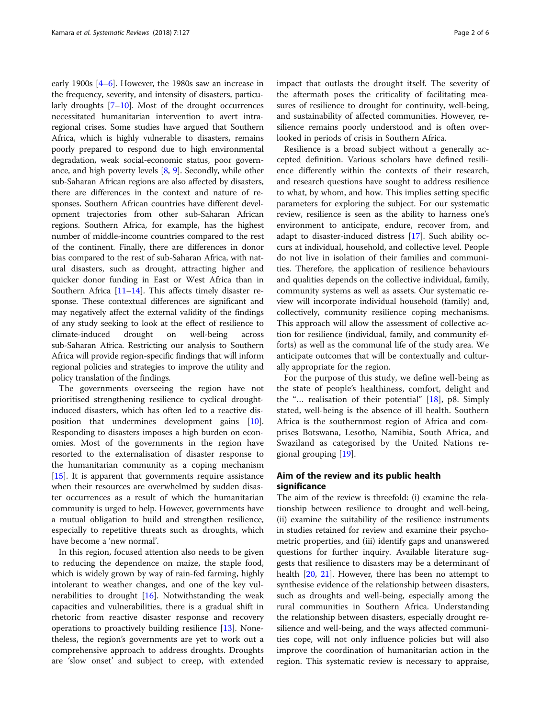early 1900s [[4](#page-5-0)–[6\]](#page-5-0). However, the 1980s saw an increase in the frequency, severity, and intensity of disasters, particularly droughts  $[7–10]$  $[7–10]$  $[7–10]$  $[7–10]$ . Most of the drought occurrences necessitated humanitarian intervention to avert intraregional crises. Some studies have argued that Southern Africa, which is highly vulnerable to disasters, remains poorly prepared to respond due to high environmental degradation, weak social-economic status, poor governance, and high poverty levels [\[8](#page-5-0), [9](#page-5-0)]. Secondly, while other sub-Saharan African regions are also affected by disasters, there are differences in the context and nature of responses. Southern African countries have different development trajectories from other sub-Saharan African regions. Southern Africa, for example, has the highest number of middle-income countries compared to the rest of the continent. Finally, there are differences in donor bias compared to the rest of sub-Saharan Africa, with natural disasters, such as drought, attracting higher and quicker donor funding in East or West Africa than in Southern Africa  $[11-14]$  $[11-14]$  $[11-14]$  $[11-14]$ . This affects timely disaster response. These contextual differences are significant and may negatively affect the external validity of the findings of any study seeking to look at the effect of resilience to climate-induced drought on well-being across sub-Saharan Africa. Restricting our analysis to Southern Africa will provide region-specific findings that will inform regional policies and strategies to improve the utility and policy translation of the findings.

The governments overseeing the region have not prioritised strengthening resilience to cyclical droughtinduced disasters, which has often led to a reactive disposition that undermines development gains [\[10](#page-5-0)]. Responding to disasters imposes a high burden on economies. Most of the governments in the region have resorted to the externalisation of disaster response to the humanitarian community as a coping mechanism [[15\]](#page-5-0). It is apparent that governments require assistance when their resources are overwhelmed by sudden disaster occurrences as a result of which the humanitarian community is urged to help. However, governments have a mutual obligation to build and strengthen resilience, especially to repetitive threats such as droughts, which have become a 'new normal'.

In this region, focused attention also needs to be given to reducing the dependence on maize, the staple food, which is widely grown by way of rain-fed farming, highly intolerant to weather changes, and one of the key vulnerabilities to drought  $[16]$  $[16]$ . Notwithstanding the weak capacities and vulnerabilities, there is a gradual shift in rhetoric from reactive disaster response and recovery operations to proactively building resilience [[13\]](#page-5-0). Nonetheless, the region's governments are yet to work out a comprehensive approach to address droughts. Droughts are 'slow onset' and subject to creep, with extended impact that outlasts the drought itself. The severity of the aftermath poses the criticality of facilitating measures of resilience to drought for continuity, well-being, and sustainability of affected communities. However, resilience remains poorly understood and is often overlooked in periods of crisis in Southern Africa.

Resilience is a broad subject without a generally accepted definition. Various scholars have defined resilience differently within the contexts of their research, and research questions have sought to address resilience to what, by whom, and how. This implies setting specific parameters for exploring the subject. For our systematic review, resilience is seen as the ability to harness one's environment to anticipate, endure, recover from, and adapt to disaster-induced distress [[17\]](#page-5-0). Such ability occurs at individual, household, and collective level. People do not live in isolation of their families and communities. Therefore, the application of resilience behaviours and qualities depends on the collective individual, family, community systems as well as assets. Our systematic review will incorporate individual household (family) and, collectively, community resilience coping mechanisms. This approach will allow the assessment of collective action for resilience (individual, family, and community efforts) as well as the communal life of the study area. We anticipate outcomes that will be contextually and culturally appropriate for the region.

For the purpose of this study, we define well-being as the state of people's healthiness, comfort, delight and the "… realisation of their potential" [[18\]](#page-5-0), p8. Simply stated, well-being is the absence of ill health. Southern Africa is the southernmost region of Africa and comprises Botswana, Lesotho, Namibia, South Africa, and Swaziland as categorised by the United Nations regional grouping [[19\]](#page-5-0).

## Aim of the review and its public health significance

The aim of the review is threefold: (i) examine the relationship between resilience to drought and well-being, (ii) examine the suitability of the resilience instruments in studies retained for review and examine their psychometric properties, and (iii) identify gaps and unanswered questions for further inquiry. Available literature suggests that resilience to disasters may be a determinant of health [\[20,](#page-5-0) [21\]](#page-5-0). However, there has been no attempt to synthesise evidence of the relationship between disasters, such as droughts and well-being, especially among the rural communities in Southern Africa. Understanding the relationship between disasters, especially drought resilience and well-being, and the ways affected communities cope, will not only influence policies but will also improve the coordination of humanitarian action in the region. This systematic review is necessary to appraise,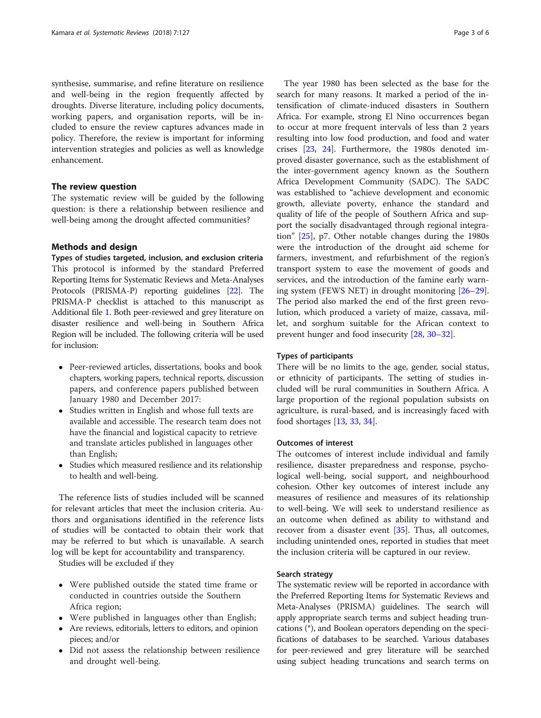synthesise, summarise, and refine literature on resilience and well-being in the region frequently affected by droughts. Diverse literature, including policy documents, working papers, and organisation reports, will be included to ensure the review captures advances made in policy. Therefore, the review is important for informing intervention strategies and policies as well as knowledge enhancement.

### The review question

The systematic review will be guided by the following question: is there a relationship between resilience and well-being among the drought affected communities?

### Methods and design

Types of studies targeted, inclusion, and exclusion criteria This protocol is informed by the standard Preferred Reporting Items for Systematic Reviews and Meta-Analyses Protocols (PRISMA-P) reporting guidelines [[22](#page-5-0)]. The PRISMA-P checklist is attached to this manuscript as Additional file [1](#page-4-0). Both peer-reviewed and grey literature on disaster resilience and well-being in Southern Africa Region will be included. The following criteria will be used for inclusion:

- Peer-reviewed articles, dissertations, books and book chapters, working papers, technical reports, discussion papers, and conference papers published between January 1980 and December 2017:
- Studies written in English and whose full texts are available and accessible. The research team does not have the financial and logistical capacity to retrieve and translate articles published in languages other than English;
- Studies which measured resilience and its relationship to health and well-being.

The reference lists of studies included will be scanned for relevant articles that meet the inclusion criteria. Authors and organisations identified in the reference lists of studies will be contacted to obtain their work that may be referred to but which is unavailable. A search log will be kept for accountability and transparency.

Studies will be excluded if they

- Were published outside the stated time frame or conducted in countries outside the Southern Africa region;
- Were published in languages other than English;
- Are reviews, editorials, letters to editors, and opinion pieces; and/or
- Did not assess the relationship between resilience and drought well-being.

The year 1980 has been selected as the base for the search for many reasons. It marked a period of the intensification of climate-induced disasters in Southern Africa. For example, strong El Nino occurrences began to occur at more frequent intervals of less than 2 years resulting into low food production, and food and water crises [[23,](#page-5-0) [24\]](#page-5-0). Furthermore, the 1980s denoted improved disaster governance, such as the establishment of the inter-government agency known as the Southern Africa Development Community (SADC). The SADC was established to "achieve development and economic growth, alleviate poverty, enhance the standard and quality of life of the people of Southern Africa and support the socially disadvantaged through regional integration" [[25\]](#page-5-0), p7. Other notable changes during the 1980s were the introduction of the drought aid scheme for farmers, investment, and refurbishment of the region's transport system to ease the movement of goods and services, and the introduction of the famine early warning system (FEWS NET) in drought monitoring [[26](#page-5-0)–[29](#page-5-0)]. The period also marked the end of the first green revolution, which produced a variety of maize, cassava, millet, and sorghum suitable for the African context to prevent hunger and food insecurity [\[28](#page-5-0), [30](#page-5-0)–[32\]](#page-5-0).

### Types of participants

There will be no limits to the age, gender, social status, or ethnicity of participants. The setting of studies included will be rural communities in Southern Africa. A large proportion of the regional population subsists on agriculture, is rural-based, and is increasingly faced with food shortages [\[13](#page-5-0), [33](#page-5-0), [34](#page-5-0)].

### Outcomes of interest

The outcomes of interest include individual and family resilience, disaster preparedness and response, psychological well-being, social support, and neighbourhood cohesion. Other key outcomes of interest include any measures of resilience and measures of its relationship to well-being. We will seek to understand resilience as an outcome when defined as ability to withstand and recover from a disaster event [\[35](#page-5-0)]. Thus, all outcomes, including unintended ones, reported in studies that meet the inclusion criteria will be captured in our review.

### Search strategy

The systematic review will be reported in accordance with the Preferred Reporting Items for Systematic Reviews and Meta-Analyses (PRISMA) guidelines. The search will apply appropriate search terms and subject heading truncations (\*), and Boolean operators depending on the specifications of databases to be searched. Various databases for peer-reviewed and grey literature will be searched using subject heading truncations and search terms on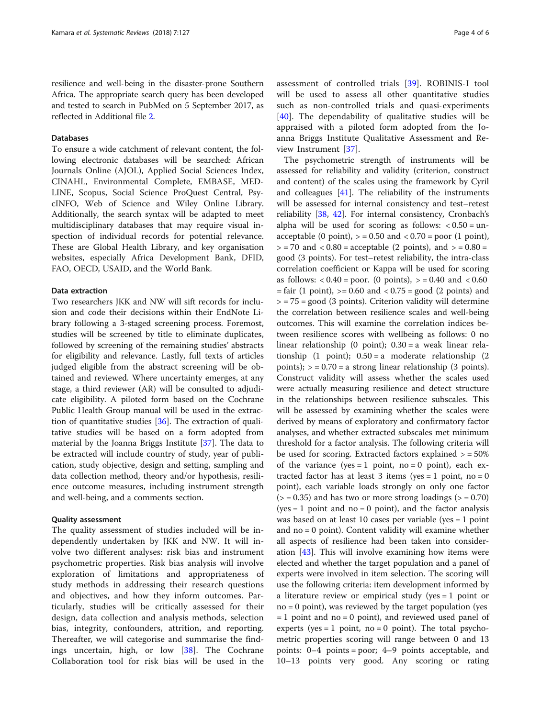resilience and well-being in the disaster-prone Southern Africa. The appropriate search query has been developed and tested to search in PubMed on 5 September 2017, as reflected in Additional file [2.](#page-4-0)

### **Databases**

To ensure a wide catchment of relevant content, the following electronic databases will be searched: African Journals Online (AJOL), Applied Social Sciences Index, CINAHL, Environmental Complete, EMBASE, MED-LINE, Scopus, Social Science ProQuest Central, PsycINFO, Web of Science and Wiley Online Library. Additionally, the search syntax will be adapted to meet multidisciplinary databases that may require visual inspection of individual records for potential relevance. These are Global Health Library, and key organisation websites, especially Africa Development Bank, DFID, FAO, OECD, USAID, and the World Bank.

### Data extraction

Two researchers JKK and NW will sift records for inclusion and code their decisions within their EndNote Library following a 3-staged screening process. Foremost, studies will be screened by title to eliminate duplicates, followed by screening of the remaining studies' abstracts for eligibility and relevance. Lastly, full texts of articles judged eligible from the abstract screening will be obtained and reviewed. Where uncertainty emerges, at any stage, a third reviewer (AR) will be consulted to adjudicate eligibility. A piloted form based on the Cochrane Public Health Group manual will be used in the extraction of quantitative studies  $[36]$  $[36]$  $[36]$ . The extraction of qualitative studies will be based on a form adopted from material by the Joanna Briggs Institute [\[37](#page-5-0)]. The data to be extracted will include country of study, year of publication, study objective, design and setting, sampling and data collection method, theory and/or hypothesis, resilience outcome measures, including instrument strength and well-being, and a comments section.

### Quality assessment

The quality assessment of studies included will be independently undertaken by JKK and NW. It will involve two different analyses: risk bias and instrument psychometric properties. Risk bias analysis will involve exploration of limitations and appropriateness of study methods in addressing their research questions and objectives, and how they inform outcomes. Particularly, studies will be critically assessed for their design, data collection and analysis methods, selection bias, integrity, confounders, attrition, and reporting. Thereafter, we will categorise and summarise the findings uncertain, high, or low [[38\]](#page-5-0). The Cochrane Collaboration tool for risk bias will be used in the assessment of controlled trials [[39\]](#page-5-0). ROBINIS-I tool will be used to assess all other quantitative studies such as non-controlled trials and quasi-experiments [[40\]](#page-5-0). The dependability of qualitative studies will be appraised with a piloted form adopted from the Joanna Briggs Institute Qualitative Assessment and Review Instrument [\[37](#page-5-0)].

The psychometric strength of instruments will be assessed for reliability and validity (criterion, construct and content) of the scales using the framework by Cyril and colleagues [[41](#page-5-0)]. The reliability of the instruments will be assessed for internal consistency and test–retest reliability [\[38,](#page-5-0) [42](#page-5-0)]. For internal consistency, Cronbach's alpha will be used for scoring as follows:  $< 0.50 =$ unacceptable (0 point),  $> = 0.50$  and  $< 0.70 =$  poor (1 point),  $>$  = 70 and < 0.80 = acceptable (2 points), and  $>$  = 0.80 = good (3 points). For test–retest reliability, the intra-class correlation coefficient or Kappa will be used for scoring as follows:  $0.40 =$  poor. (0 points),  $> = 0.40$  and  $< 0.60$  $=$  fair (1 point),  $> = 0.60$  and  $< 0.75 =$  good (2 points) and  $>$  = 75 = good (3 points). Criterion validity will determine the correlation between resilience scales and well-being outcomes. This will examine the correlation indices between resilience scores with wellbeing as follows: 0 no linear relationship (0 point); 0.30 = a weak linear relationship  $(1 \text{ point})$ ;  $0.50 = a \text{ moderate relationship}$  (2) points);  $> = 0.70 = a$  strong linear relationship (3 points). Construct validity will assess whether the scales used were actually measuring resilience and detect structure in the relationships between resilience subscales. This will be assessed by examining whether the scales were derived by means of exploratory and confirmatory factor analyses, and whether extracted subscales met minimum threshold for a factor analysis. The following criteria will be used for scoring. Extracted factors explained  $> = 50\%$ of the variance (yes = 1 point, no = 0 point), each extracted factor has at least 3 items (yes = 1 point,  $no = 0$ point), each variable loads strongly on only one factor  $(> 0.35)$  and has two or more strong loadings  $(> 0.70)$  $(yes = 1$  point and no = 0 point), and the factor analysis was based on at least 10 cases per variable (yes = 1 point and no = 0 point). Content validity will examine whether all aspects of resilience had been taken into consideration [[43](#page-5-0)]. This will involve examining how items were elected and whether the target population and a panel of experts were involved in item selection. The scoring will use the following criteria: item development informed by a literature review or empirical study (yes = 1 point or  $no = 0$  point), was reviewed by the target population (yes = 1 point and no = 0 point), and reviewed used panel of experts (yes = 1 point,  $no = 0$  point). The total psychometric properties scoring will range between 0 and 13 points: 0–4 points = poor; 4–9 points acceptable, and 10–13 points very good. Any scoring or rating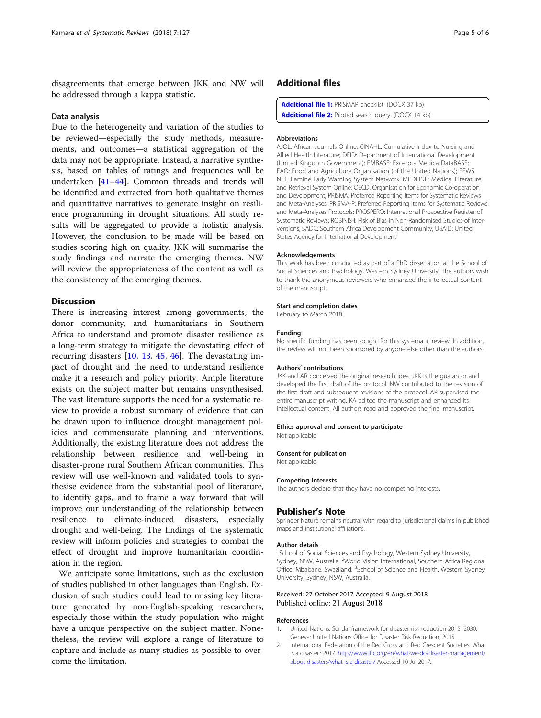<span id="page-4-0"></span>disagreements that emerge between JKK and NW will be addressed through a kappa statistic.

#### Data analysis

Due to the heterogeneity and variation of the studies to be reviewed—especially the study methods, measurements, and outcomes—a statistical aggregation of the data may not be appropriate. Instead, a narrative synthesis, based on tables of ratings and frequencies will be undertaken [\[41](#page-5-0)–[44\]](#page-5-0). Common threads and trends will be identified and extracted from both qualitative themes and quantitative narratives to generate insight on resilience programming in drought situations. All study results will be aggregated to provide a holistic analysis. However, the conclusion to be made will be based on studies scoring high on quality. JKK will summarise the study findings and narrate the emerging themes. NW will review the appropriateness of the content as well as the consistency of the emerging themes.

### **Discussion**

There is increasing interest among governments, the donor community, and humanitarians in Southern Africa to understand and promote disaster resilience as a long-term strategy to mitigate the devastating effect of recurring disasters [\[10](#page-5-0), [13,](#page-5-0) [45,](#page-5-0) [46](#page-5-0)]. The devastating impact of drought and the need to understand resilience make it a research and policy priority. Ample literature exists on the subject matter but remains unsynthesised. The vast literature supports the need for a systematic review to provide a robust summary of evidence that can be drawn upon to influence drought management policies and commensurate planning and interventions. Additionally, the existing literature does not address the relationship between resilience and well-being in disaster-prone rural Southern African communities. This review will use well-known and validated tools to synthesise evidence from the substantial pool of literature, to identify gaps, and to frame a way forward that will improve our understanding of the relationship between resilience to climate-induced disasters, especially drought and well-being. The findings of the systematic review will inform policies and strategies to combat the effect of drought and improve humanitarian coordination in the region.

We anticipate some limitations, such as the exclusion of studies published in other languages than English. Exclusion of such studies could lead to missing key literature generated by non-English-speaking researchers, especially those within the study population who might have a unique perspective on the subject matter. Nonetheless, the review will explore a range of literature to capture and include as many studies as possible to overcome the limitation.

### Additional files

[Additional file 1:](https://doi.org/10.1186/s13643-018-0796-4) PRISMAP checklist. (DOCX 37 kb) [Additional file 2:](https://doi.org/10.1186/s13643-018-0796-4) Piloted search query. (DOCX 14 kb)

#### Abbreviations

AJOL: African Journals Online; CINAHL: Cumulative Index to Nursing and Allied Health Literature; DFID: Department of International Development (United Kingdom Government); EMBASE: Excerpta Medica DataBASE; FAO: Food and Agriculture Organisation (of the United Nations); FEWS NET: Famine Early Warning System Network; MEDLINE: Medical Literature and Retrieval System Online; OECD: Organisation for Economic Co-operation and Development; PRISMA: Preferred Reporting Items for Systematic Reviews and Meta-Analyses; PRISMA-P: Preferred Reporting Items for Systematic Reviews and Meta-Analyses Protocols; PROSPERO: International Prospective Register of Systematic Reviews; ROBINIS-I: Risk of Bias in Non-Randomised Studies-of Interventions; SADC: Southern Africa Development Community; USAID: United States Agency for International Development

#### Acknowledgements

This work has been conducted as part of a PhD dissertation at the School of Social Sciences and Psychology, Western Sydney University. The authors wish to thank the anonymous reviewers who enhanced the intellectual content of the manuscript.

### Start and completion dates

February to March 2018.

#### Funding

No specific funding has been sought for this systematic review. In addition, the review will not been sponsored by anyone else other than the authors.

#### Authors' contributions

JKK and AR conceived the original research idea. JKK is the guarantor and developed the first draft of the protocol. NW contributed to the revision of the first draft and subsequent revisions of the protocol. AR supervised the entire manuscript writing. KA edited the manuscript and enhanced its intellectual content. All authors read and approved the final manuscript.

#### Ethics approval and consent to participate

Not applicable

#### Consent for publication

Not applicable

#### Competing interests

The authors declare that they have no competing interests.

#### Publisher's Note

Springer Nature remains neutral with regard to jurisdictional claims in published maps and institutional affiliations.

#### Author details

<sup>1</sup>School of Social Sciences and Psychology, Western Sydney University Sydney, NSW, Australia. <sup>2</sup>World Vision International, Southern Africa Regional Office, Mbabane, Swaziland. <sup>3</sup>School of Science and Health, Western Sydney University, Sydney, NSW, Australia.

### Received: 27 October 2017 Accepted: 9 August 2018 Published online: 21 August 2018

#### References

- 1. United Nations. Sendai framework for disaster risk reduction 2015–2030. Geneva: United Nations Office for Disaster Risk Reduction; 2015.
- 2. International Federation of the Red Cross and Red Crescent Societies. What is a disaster? 2017. [http://www.ifrc.org/en/what-we-do/disaster-management/](http://www.ifrc.org/en/what-we-do/disaster-management/about-disasters/what-is-a-disaster/) [about-disasters/what-is-a-disaster/](http://www.ifrc.org/en/what-we-do/disaster-management/about-disasters/what-is-a-disaster/) Accessed 10 Jul 2017.